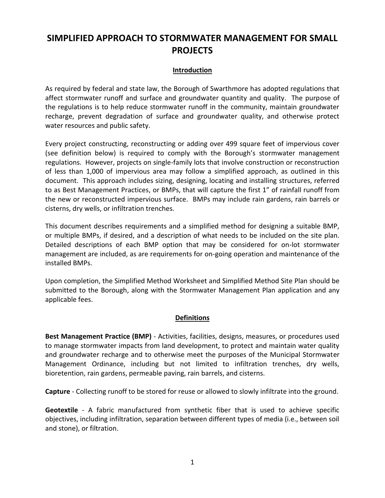# **SIMPLIFIED APPROACH TO STORMWATER MANAGEMENT FOR SMALL PROJECTS**

### **Introduction**

As required by federal and state law, the Borough of Swarthmore has adopted regulations that affect stormwater runoff and surface and groundwater quantity and quality. The purpose of the regulations is to help reduce stormwater runoff in the community, maintain groundwater recharge, prevent degradation of surface and groundwater quality, and otherwise protect water resources and public safety.

Every project constructing, reconstructing or adding over 499 square feet of impervious cover (see definition below) is required to comply with the Borough's stormwater management regulations. However, projects on single-family lots that involve construction or reconstruction of less than 1,000 of impervious area may follow a simplified approach, as outlined in this document. This approach includes sizing, designing, locating and installing structures, referred to as Best Management Practices, or BMPs, that will capture the first 1" of rainfall runoff from the new or reconstructed impervious surface. BMPs may include rain gardens, rain barrels or cisterns, dry wells, or infiltration trenches.

This document describes requirements and a simplified method for designing a suitable BMP, or multiple BMPs, if desired, and a description of what needs to be included on the site plan. Detailed descriptions of each BMP option that may be considered for on-lot stormwater management are included, as are requirements for on-going operation and maintenance of the installed BMPs.

Upon completion, the Simplified Method Worksheet and Simplified Method Site Plan should be submitted to the Borough, along with the Stormwater Management Plan application and any applicable fees.

# **Definitions**

**Best Management Practice (BMP)** - Activities, facilities, designs, measures, or procedures used to manage stormwater impacts from land development, to protect and maintain water quality and groundwater recharge and to otherwise meet the purposes of the Municipal Stormwater Management Ordinance, including but not limited to infiltration trenches, dry wells, bioretention, rain gardens, permeable paving, rain barrels, and cisterns.

**Capture** - Collecting runoff to be stored for reuse or allowed to slowly infiltrate into the ground.

**Geotextile** - A fabric manufactured from synthetic fiber that is used to achieve specific objectives, including infiltration, separation between different types of media (i.e., between soil and stone), or filtration.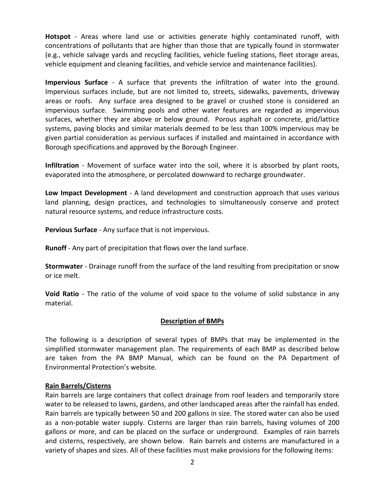**Hotspot** - Areas where land use or activities generate highly contaminated runoff, with concentrations of pollutants that are higher than those that are typically found in stormwater (e.g., vehicle salvage yards and recycling facilities, vehicle fueling stations, fleet storage areas, vehicle equipment and cleaning facilities, and vehicle service and maintenance facilities).

**Impervious Surface** - A surface that prevents the infiltration of water into the ground. Impervious surfaces include, but are not limited to, streets, sidewalks, pavements, driveway areas or roofs. Any surface area designed to be gravel or crushed stone is considered an impervious surface. Swimming pools and other water features are regarded as impervious surfaces, whether they are above or below ground. Porous asphalt or concrete, grid/lattice systems, paving blocks and similar materials deemed to be less than 100% impervious may be given partial consideration as pervious surfaces if installed and maintained in accordance with Borough specifications and approved by the Borough Engineer.

**Infiltration** - Movement of surface water into the soil, where it is absorbed by plant roots, evaporated into the atmosphere, or percolated downward to recharge groundwater.

**Low Impact Development** - A land development and construction approach that uses various land planning, design practices, and technologies to simultaneously conserve and protect natural resource systems, and reduce infrastructure costs.

**Pervious Surface** - Any surface that is not impervious.

**Runoff** - Any part of precipitation that flows over the land surface.

**Stormwater** - Drainage runoff from the surface of the land resulting from precipitation or snow or ice melt.

**Void Ratio** - The ratio of the volume of void space to the volume of solid substance in any material.

### **Description of BMPs**

The following is a description of several types of BMPs that may be implemented in the simplified stormwater management plan. The requirements of each BMP as described below are taken from the PA BMP Manual, which can be found on the PA Department of Environmental Protection's website.

### **Rain Barrels/Cisterns**

Rain barrels are large containers that collect drainage from roof leaders and temporarily store water to be released to lawns, gardens, and other landscaped areas after the rainfall has ended. Rain barrels are typically between 50 and 200 gallons in size. The stored water can also be used as a non-potable water supply. Cisterns are larger than rain barrels, having volumes of 200 gallons or more, and can be placed on the surface or underground. Examples of rain barrels and cisterns, respectively, are shown below. Rain barrels and cisterns are manufactured in a variety of shapes and sizes. All of these facilities must make provisions for the following items: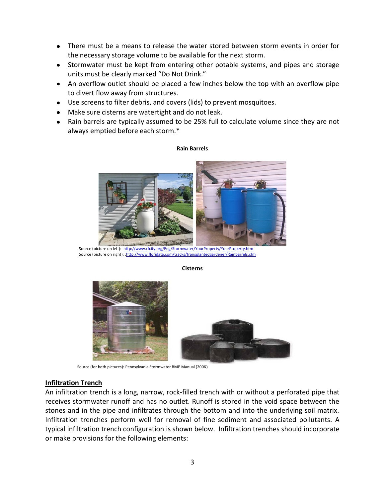- There must be a means to release the water stored between storm events in order for the necessary storage volume to be available for the next storm.
- Stormwater must be kept from entering other potable systems, and pipes and storage units must be clearly marked "Do Not Drink."
- An overflow outlet should be placed a few inches below the top with an overflow pipe to divert flow away from structures.
- Use screens to filter debris, and covers (lids) to prevent mosquitoes.
- Make sure cisterns are watertight and do not leak.
- Rain barrels are typically assumed to be 25% full to calculate volume since they are not always emptied before each storm.\*

#### **Rain Barrels**



Source (picture on left):<http://www.rfcity.org/Eng/Stormwater/YourProperty/YourProperty.htm> Source (picture on right): [:http://www.floridata.com/tracks/transplantedgardener/Rainbarrels.cfm](http://www.floridata.com/tracks/transplantedgardener/Rainbarrels.cfm)



**Cisterns**

Source (for both pictures): Pennsylvania Stormwater BMP Manual (2006)

### **Infiltration Trench**

An infiltration trench is a long, narrow, rock-filled trench with or without a perforated pipe that receives stormwater runoff and has no outlet. Runoff is stored in the void space between the stones and in the pipe and infiltrates through the bottom and into the underlying soil matrix. Infiltration trenches perform well for removal of fine sediment and associated pollutants. A typical infiltration trench configuration is shown below. Infiltration trenches should incorporate or make provisions for the following elements: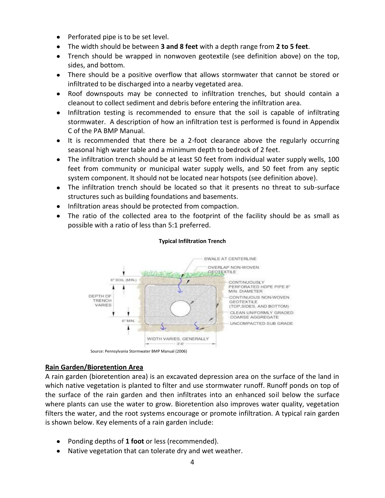- Perforated pipe is to be set level.
- The width should be between **3 and 8 feet** with a depth range from **2 to 5 feet**.
- Trench should be wrapped in nonwoven geotextile (see definition above) on the top, sides, and bottom.
- There should be a positive overflow that allows stormwater that cannot be stored or infiltrated to be discharged into a nearby vegetated area.
- Roof downspouts may be connected to infiltration trenches, but should contain a cleanout to collect sediment and debris before entering the infiltration area.
- Infiltration testing is recommended to ensure that the soil is capable of infiltrating stormwater. A description of how an infiltration test is performed is found in Appendix C of the PA BMP Manual.
- It is recommended that there be a 2-foot clearance above the regularly occurring seasonal high water table and a minimum depth to bedrock of 2 feet.
- The infiltration trench should be at least 50 feet from individual water supply wells, 100 feet from community or municipal water supply wells, and 50 feet from any septic system component. It should not be located near hotspots (see definition above).
- The infiltration trench should be located so that it presents no threat to sub-surface structures such as building foundations and basements.
- Infiltration areas should be protected from compaction.
- The ratio of the collected area to the footprint of the facility should be as small as  $\bullet$ possible with a ratio of less than 5:1 preferred.



#### **Typical Infiltration Trench**

### **Rain Garden/Bioretention Area**

A rain garden (bioretention area) is an excavated depression area on the surface of the land in which native vegetation is planted to filter and use stormwater runoff. Runoff ponds on top of the surface of the rain garden and then infiltrates into an enhanced soil below the surface where plants can use the water to grow. Bioretention also improves water quality, vegetation filters the water, and the root systems encourage or promote infiltration. A typical rain garden is shown below. Key elements of a rain garden include:

- Ponding depths of **1 foot** or less (recommended).
- Native vegetation that can tolerate dry and wet weather.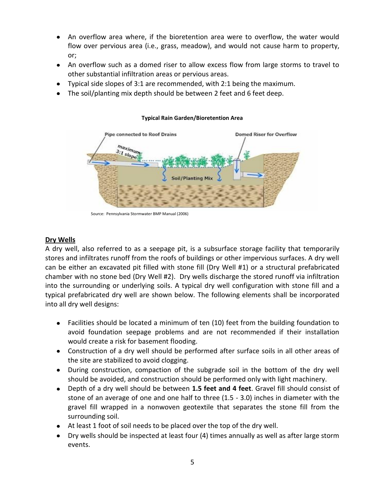- An overflow area where, if the bioretention area were to overflow, the water would flow over pervious area (i.e., grass, meadow), and would not cause harm to property, or;
- An overflow such as a domed riser to allow excess flow from large storms to travel to other substantial infiltration areas or pervious areas.
- Typical side slopes of 3:1 are recommended, with 2:1 being the maximum.
- The soil/planting mix depth should be between 2 feet and 6 feet deep.



**Typical Rain Garden/Bioretention Area**

Source: Pennsylvania Stormwater BMP Manual (2006)

## **Dry Wells**

A dry well, also referred to as a seepage pit, is a subsurface storage facility that temporarily stores and infiltrates runoff from the roofs of buildings or other impervious surfaces. A dry well can be either an excavated pit filled with stone fill (Dry Well #1) or a structural prefabricated chamber with no stone bed (Dry Well #2). Dry wells discharge the stored runoff via infiltration into the surrounding or underlying soils. A typical dry well configuration with stone fill and a typical prefabricated dry well are shown below. The following elements shall be incorporated into all dry well designs:

- Facilities should be located a minimum of ten (10) feet from the building foundation to avoid foundation seepage problems and are not recommended if their installation would create a risk for basement flooding.
- Construction of a dry well should be performed after surface soils in all other areas of the site are stabilized to avoid clogging.
- During construction, compaction of the subgrade soil in the bottom of the dry well should be avoided, and construction should be performed only with light machinery.
- Depth of a dry well should be between **1.5 feet and 4 feet**. Gravel fill should consist of stone of an average of one and one half to three (1.5 - 3.0) inches in diameter with the gravel fill wrapped in a nonwoven geotextile that separates the stone fill from the surrounding soil.
- At least 1 foot of soil needs to be placed over the top of the dry well.
- Dry wells should be inspected at least four (4) times annually as well as after large storm events.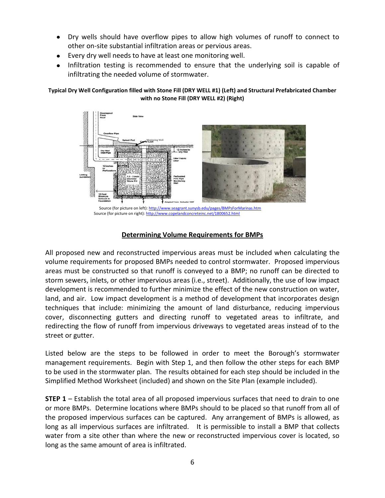- Dry wells should have overflow pipes to allow high volumes of runoff to connect to other on-site substantial infiltration areas or pervious areas.
- Every dry well needs to have at least one monitoring well.
- Infiltration testing is recommended to ensure that the underlying soil is capable of infiltrating the needed volume of stormwater.

## **Typical Dry Well Configuration filled with Stone Fill (DRY WELL #1) (Left) and Structural Prefabricated Chamber with no Stone Fill (DRY WELL #2) (Right)**



Source (for picture on right)[: http://www.copelandconcreteinc.net/1800652.html](http://www.copelandconcreteinc.net/1800652.html)

# **Determining Volume Requirements for BMPs**

All proposed new and reconstructed impervious areas must be included when calculating the volume requirements for proposed BMPs needed to control stormwater. Proposed impervious areas must be constructed so that runoff is conveyed to a BMP; no runoff can be directed to storm sewers, inlets, or other impervious areas (i.e., street). Additionally, the use of low impact development is recommended to further minimize the effect of the new construction on water, land, and air. Low impact development is a method of development that incorporates design techniques that include: minimizing the amount of land disturbance, reducing impervious cover, disconnecting gutters and directing runoff to vegetated areas to infiltrate, and redirecting the flow of runoff from impervious driveways to vegetated areas instead of to the street or gutter.

Listed below are the steps to be followed in order to meet the Borough's stormwater management requirements. Begin with Step 1, and then follow the other steps for each BMP to be used in the stormwater plan. The results obtained for each step should be included in the Simplified Method Worksheet (included) and shown on the Site Plan (example included).

**STEP 1** – Establish the total area of all proposed impervious surfaces that need to drain to one or more BMPs. Determine locations where BMPs should to be placed so that runoff from all of the proposed impervious surfaces can be captured. Any arrangement of BMPs is allowed, as long as all impervious surfaces are infiltrated. It is permissible to install a BMP that collects water from a site other than where the new or reconstructed impervious cover is located, so long as the same amount of area is infiltrated.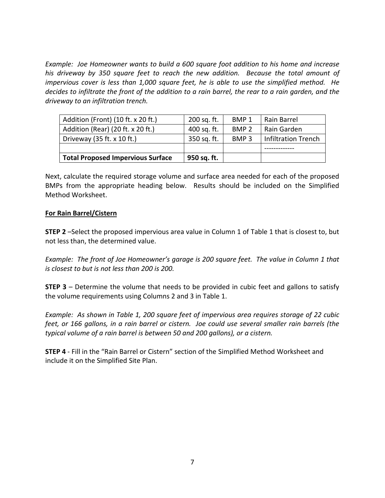*Example: Joe Homeowner wants to build a 600 square foot addition to his home and increase his driveway by 350 square feet to reach the new addition. Because the total amount of impervious cover is less than 1,000 square feet, he is able to use the simplified method. He decides to infiltrate the front of the addition to a rain barrel, the rear to a rain garden, and the driveway to an infiltration trench.* 

| Addition (Front) (10 ft. x 20 ft.)       | $200$ sq. ft. | BMP <sub>1</sub> | Rain Barrel                |
|------------------------------------------|---------------|------------------|----------------------------|
| Addition (Rear) (20 ft. x 20 ft.)        | 400 sq. ft.   | BMP <sub>2</sub> | Rain Garden                |
| Driveway $(35 ft. x 10 ft.)$             | 350 sq. ft.   | BMP <sub>3</sub> | <b>Infiltration Trench</b> |
|                                          |               |                  |                            |
| <b>Total Proposed Impervious Surface</b> | 950 sq. ft.   |                  |                            |

Next, calculate the required storage volume and surface area needed for each of the proposed BMPs from the appropriate heading below. Results should be included on the Simplified Method Worksheet.

## **For Rain Barrel/Cistern**

**STEP 2** –Select the proposed impervious area value in Column 1 of Table 1 that is closest to, but not less than, the determined value.

*Example: The front of Joe Homeowner's garage is 200 square feet. The value in Column 1 that is closest to but is not less than 200 is 200.*

**STEP 3** – Determine the volume that needs to be provided in cubic feet and gallons to satisfy the volume requirements using Columns 2 and 3 in Table 1.

*Example: As shown in Table 1, 200 square feet of impervious area requires storage of 22 cubic feet, or 166 gallons, in a rain barrel or cistern. Joe could use several smaller rain barrels (the typical volume of a rain barrel is between 50 and 200 gallons), or a cistern.*

**STEP 4** - Fill in the "Rain Barrel or Cistern" section of the Simplified Method Worksheet and include it on the Simplified Site Plan.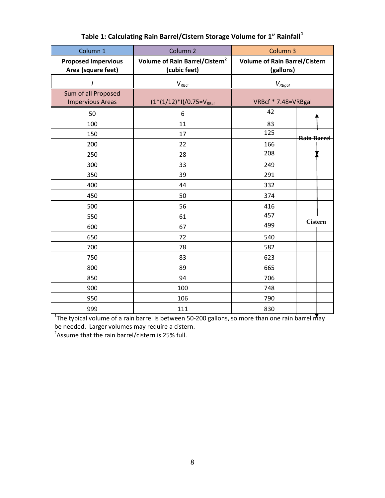| Column 1                                         | Column <sub>2</sub>                                        | Column 3                                          |                |
|--------------------------------------------------|------------------------------------------------------------|---------------------------------------------------|----------------|
| <b>Proposed Impervious</b><br>Area (square feet) | Volume of Rain Barrel/Cistern <sup>2</sup><br>(cubic feet) | <b>Volume of Rain Barrel/Cistern</b><br>(gallons) |                |
| $\overline{I}$                                   | $\mathsf{V}_{\mathsf{R}\mathsf{B}\mathsf{c}\mathsf{f}}$    | $V_{RBgal}$                                       |                |
| Sum of all Proposed<br><b>Impervious Areas</b>   | $(1*(1/12)*1)/0.75=V_{RBcf}$                               | VRBcf * 7.48=VRBgal                               |                |
| 50                                               | 6                                                          | 42                                                |                |
| 100                                              | 11                                                         | 83                                                |                |
| 150                                              | 17                                                         | 125                                               | Rain Barrel    |
| 200                                              | 22                                                         | 166                                               |                |
| 250                                              | 28                                                         | 208                                               |                |
| 300                                              | 33                                                         | 249                                               |                |
| 350                                              | 39                                                         | 291                                               |                |
| 400                                              | 44                                                         | 332                                               |                |
| 450                                              | 50                                                         | 374                                               |                |
| 500                                              | 56                                                         | 416                                               |                |
| 550                                              | 61                                                         | 457                                               |                |
| 600                                              | 67                                                         | 499                                               | <b>Cistern</b> |
| 650                                              | 72                                                         | 540                                               |                |
| 700                                              | 78                                                         | 582                                               |                |
| 750                                              | 83                                                         | 623                                               |                |
| 800                                              | 89                                                         | 665                                               |                |
| 850                                              | 94                                                         | 706                                               |                |
| 900                                              | 100                                                        | 748                                               |                |
| 950                                              | 106                                                        | 790                                               |                |
| 999                                              | 111                                                        | 830                                               |                |

# **Table 1: Calculating Rain Barrel/Cistern Storage Volume for 1" Rainfall<sup>1</sup>**

<sup>1</sup>The typical volume of a rain barrel is between 50-200 gallons, so more than one rain barrel may be needed. Larger volumes may require a cistern.

<sup>2</sup>Assume that the rain barrel/cistern is 25% full.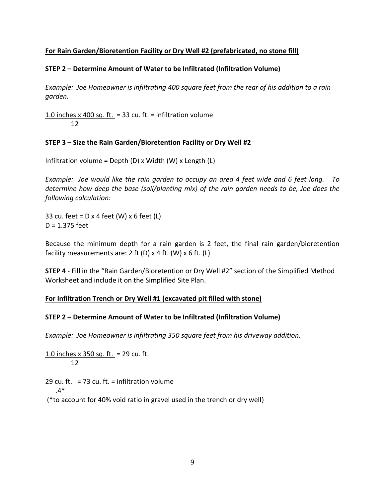### **For Rain Garden/Bioretention Facility or Dry Well #2 (prefabricated, no stone fill)**

### **STEP 2 – Determine Amount of Water to be Infiltrated (Infiltration Volume)**

*Example: Joe Homeowner is infiltrating 400 square feet from the rear of his addition to a rain garden.*

1.0 inches x 400 sq. ft.  $=$  33 cu. ft. = infiltration volume 12

## **STEP 3 – Size the Rain Garden/Bioretention Facility or Dry Well #2**

Infiltration volume = Depth  $(D)$  x Width  $(W)$  x Length  $(L)$ 

*Example: Joe would like the rain garden to occupy an area 4 feet wide and 6 feet long. To determine how deep the base (soil/planting mix) of the rain garden needs to be, Joe does the following calculation:*

33 cu. feet =  $D \times 4$  feet (W)  $\times 6$  feet (L) D = 1.375 feet

Because the minimum depth for a rain garden is 2 feet, the final rain garden/bioretention facility measurements are: 2 ft  $(D)$  x 4 ft.  $(W)$  x 6 ft.  $(L)$ 

**STEP 4** - Fill in the "Rain Garden/Bioretention or Dry Well #2" section of the Simplified Method Worksheet and include it on the Simplified Site Plan.

# **For Infiltration Trench or Dry Well #1 (excavated pit filled with stone)**

# **STEP 2 – Determine Amount of Water to be Infiltrated (Infiltration Volume)**

*Example: Joe Homeowner is infiltrating 350 square feet from his driveway addition.*

1.0 inches x 350 sq. ft. = 29 cu. ft. 12

 $29$  cu. ft. = 73 cu. ft. = infiltration volume

 $4*$ 

(\*to account for 40% void ratio in gravel used in the trench or dry well)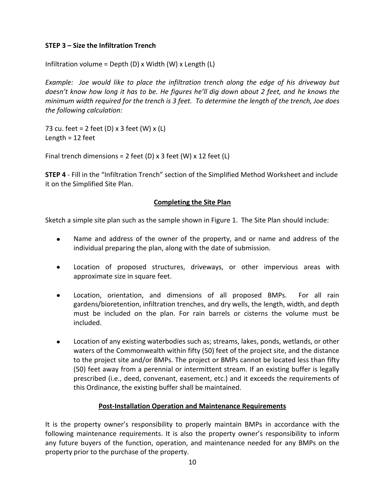# **STEP 3 – Size the Infiltration Trench**

Infiltration volume = Depth  $(D)$  x Width  $(W)$  x Length  $(L)$ 

*Example: Joe would like to place the infiltration trench along the edge of his driveway but doesn't know how long it has to be. He figures he'll dig down about 2 feet, and he knows the minimum width required for the trench is 3 feet. To determine the length of the trench, Joe does the following calculation:*

73 cu. feet =  $2$  feet (D) x 3 feet (W) x (L) Length  $= 12$  feet

Final trench dimensions = 2 feet (D)  $x$  3 feet (W)  $x$  12 feet (L)

**STEP 4** - Fill in the "Infiltration Trench" section of the Simplified Method Worksheet and include it on the Simplified Site Plan.

# **Completing the Site Plan**

Sketch a simple site plan such as the sample shown in Figure 1. The Site Plan should include:

- Name and address of the owner of the property, and or name and address of the  $\bullet$ individual preparing the plan, along with the date of submission.
- Location of proposed structures, driveways, or other impervious areas with  $\bullet$ approximate size in square feet.
- Location, orientation, and dimensions of all proposed BMPs. For all rain  $\bullet$ gardens/bioretention, infiltration trenches, and dry wells, the length, width, and depth must be included on the plan. For rain barrels or cisterns the volume must be included.
- Location of any existing waterbodies such as; streams, lakes, ponds, wetlands, or other  $\bullet$ waters of the Commonwealth within fifty (50) feet of the project site, and the distance to the project site and/or BMPs. The project or BMPs cannot be located less than fifty (50) feet away from a perennial or intermittent stream. If an existing buffer is legally prescribed (i.e., deed, convenant, easement, etc.) and it exceeds the requirements of this Ordinance, the existing buffer shall be maintained.

# **Post-Installation Operation and Maintenance Requirements**

It is the property owner's responsibility to properly maintain BMPs in accordance with the following maintenance requirements. It is also the property owner's responsibility to inform any future buyers of the function, operation, and maintenance needed for any BMPs on the property prior to the purchase of the property.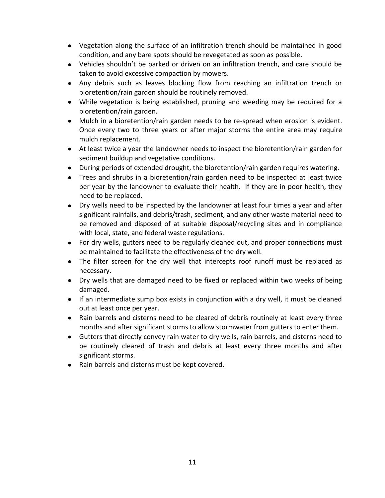- Vegetation along the surface of an infiltration trench should be maintained in good condition, and any bare spots should be revegetated as soon as possible.
- Vehicles shouldn't be parked or driven on an infiltration trench, and care should be taken to avoid excessive compaction by mowers.
- Any debris such as leaves blocking flow from reaching an infiltration trench or bioretention/rain garden should be routinely removed.
- While vegetation is being established, pruning and weeding may be required for a bioretention/rain garden.
- Mulch in a bioretention/rain garden needs to be re-spread when erosion is evident. Once every two to three years or after major storms the entire area may require mulch replacement.
- At least twice a year the landowner needs to inspect the bioretention/rain garden for sediment buildup and vegetative conditions.
- During periods of extended drought, the bioretention/rain garden requires watering.
- Trees and shrubs in a bioretention/rain garden need to be inspected at least twice per year by the landowner to evaluate their health. If they are in poor health, they need to be replaced.
- Dry wells need to be inspected by the landowner at least four times a year and after significant rainfalls, and debris/trash, sediment, and any other waste material need to be removed and disposed of at suitable disposal/recycling sites and in compliance with local, state, and federal waste regulations.
- For dry wells, gutters need to be regularly cleaned out, and proper connections must be maintained to facilitate the effectiveness of the dry well.
- The filter screen for the dry well that intercepts roof runoff must be replaced as necessary.
- Dry wells that are damaged need to be fixed or replaced within two weeks of being damaged.
- If an intermediate sump box exists in conjunction with a dry well, it must be cleaned out at least once per year.
- Rain barrels and cisterns need to be cleared of debris routinely at least every three months and after significant storms to allow stormwater from gutters to enter them.
- Gutters that directly convey rain water to dry wells, rain barrels, and cisterns need to be routinely cleared of trash and debris at least every three months and after significant storms.
- Rain barrels and cisterns must be kept covered.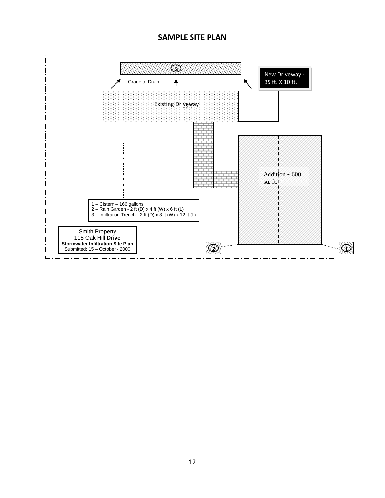# **SAMPLE SITE PLAN**

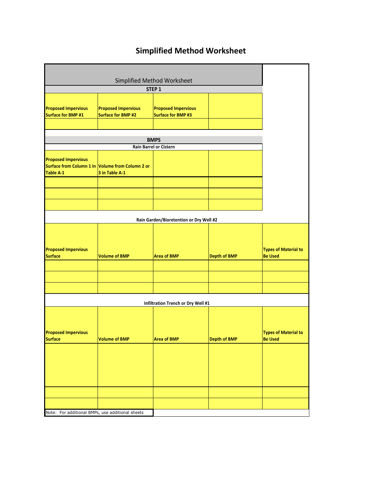# **Simplified Method Worksheet**

| Simplified Method Worksheet<br>STEP 1                   |                                                                    |                                                        |                     |                                               |  |
|---------------------------------------------------------|--------------------------------------------------------------------|--------------------------------------------------------|---------------------|-----------------------------------------------|--|
| <b>Proposed Impervious</b><br><b>Surface for BMP #1</b> | <b>Proposed Impervious</b><br><b>Surface for BMP #2</b>            | <b>Proposed Impervious</b><br><b>Surface for BMP#3</b> |                     |                                               |  |
|                                                         |                                                                    |                                                        |                     |                                               |  |
|                                                         |                                                                    | <b>BMPS</b>                                            |                     |                                               |  |
|                                                         |                                                                    | Rain Barrel or Cistern                                 |                     |                                               |  |
| <b>Proposed Impervious</b><br><b>Table A-1</b>          | Surface from Column 1 in Volume from Column 2 or<br>3 in Table A-1 |                                                        |                     |                                               |  |
|                                                         |                                                                    |                                                        |                     |                                               |  |
|                                                         | Rain Garden/Bioretention or Dry Well #2                            |                                                        |                     |                                               |  |
| <b>Proposed Impervious</b><br><b>Surface</b>            | <b>Volume of BMP</b>                                               | <b>Area of BMP</b>                                     | Depth of BMP        | <b>Types of Material to</b><br><b>Be Used</b> |  |
|                                                         |                                                                    |                                                        |                     |                                               |  |
|                                                         |                                                                    |                                                        |                     |                                               |  |
|                                                         |                                                                    |                                                        |                     |                                               |  |
|                                                         |                                                                    | Infiltration Trench or Dry Well #1                     |                     |                                               |  |
|                                                         |                                                                    |                                                        |                     |                                               |  |
| <b>Proposed Impervious</b><br><b>Surface</b>            | <b>Volume of BMP</b>                                               | <b>Area of BMP</b>                                     | <b>Depth of BMP</b> | <b>Types of Material to</b><br><b>Be Used</b> |  |
|                                                         |                                                                    |                                                        |                     |                                               |  |
|                                                         |                                                                    |                                                        |                     |                                               |  |
|                                                         |                                                                    |                                                        |                     |                                               |  |
| Note: For additional BMPs, use additional sheets        |                                                                    |                                                        |                     |                                               |  |